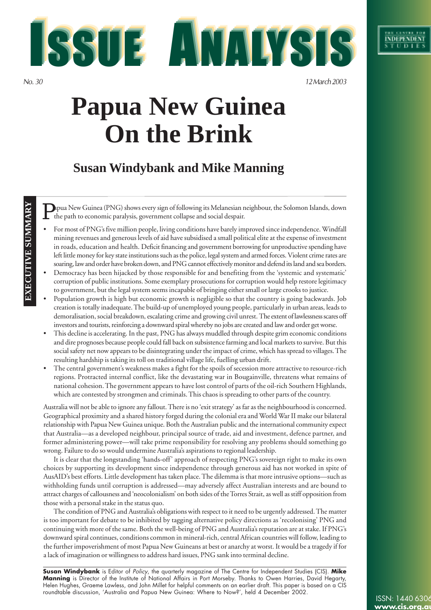18802

**EXECUTIVE SUMMARY**

**BXECUTIVE SUMMARY** 

*No. 30 12 March 2003*

# **Papua New Guinea On the Brink**

**TE ANALYSIS** 

# **Susan Windybank and Mike Manning**

P apua New Guinea (PNG) shows every sign of following its Melanesian neighbour, the Solomon Islands, down the path to economic paralysis, government collapse and social despair.

- For most of PNG's five million people, living conditions have barely improved since independence. Windfall mining revenues and generous levels of aid have subsidised a small political elite at the expense of investment in roads, education and health. Deficit financing and government borrowing for unproductive spending have left little money for key state institutions such as the police, legal system and armed forces. Violent crime rates are soaring, law and order have broken down, and PNG cannot effectively monitor and defend its land and sea borders.
- Democracy has been hijacked by those responsible for and benefiting from the 'systemic and systematic' corruption of public institutions. Some exemplary prosecutions for corruption would help restore legitimacy to government, but the legal system seems incapable of bringing either small or large crooks to justice.
- Population growth is high but economic growth is negligible so that the country is going backwards. Job creation is totally inadequate. The build-up of unemployed young people, particularly in urban areas, leads to demoralisation, social breakdown, escalating crime and growing civil unrest. The extent of lawlessness scares off investors and tourists, reinforcing a downward spiral whereby no jobs are created and law and order get worse.
- This decline is accelerating. In the past, PNG has always muddled through despite grim economic conditions and dire prognoses because people could fall back on subsistence farming and local markets to survive. But this social safety net now appears to be disintegrating under the impact of crime, which has spread to villages. The resulting hardship is taking its toll on traditional village life, fuelling urban drift.
- The central government's weakness makes a fight for the spoils of secession more attractive to resource-rich regions. Protracted internal conflict, like the devastating war in Bougainville, threatens what remains of national cohesion. The government appears to have lost control of parts of the oil-rich Southern Highlands, which are contested by strongmen and criminals. This chaos is spreading to other parts of the country.

Australia will not be able to ignore any fallout. There is no 'exit strategy' as far as the neighbourhood is concerned. Geographical proximity and a shared history forged during the colonial era and World War II make our bilateral relationship with Papua New Guinea unique. Both the Australian public and the international community expect that Australia—as a developed neighbour, principal source of trade, aid and investment, defence partner, and former administering power—will take prime responsibility for resolving any problems should something go wrong. Failure to do so would undermine Australia's aspirations to regional leadership.

It is clear that the longstanding 'hands-off' approach of respecting PNG's sovereign right to make its own choices by supporting its development since independence through generous aid has not worked in spite of AusAID's best efforts. Little development has taken place. The dilemma is that more intrusive options—such as withholding funds until corruption is addressed—may adversely affect Australian interests and are bound to attract charges of callousness and 'neocolonialism' on both sides of the Torres Strait, as well as stiff opposition from those with a personal stake in the status quo.

The condition of PNG and Australia's obligations with respect to it need to be urgently addressed. The matter is too important for debate to be inhibited by tagging alternative policy directions as 'recolonising' PNG and continuing with more of the same. Both the well-being of PNG and Australia's reputation are at stake. If PNG's downward spiral continues, conditions common in mineral-rich, central African countries will follow, leading to the further impoverishment of most Papua New Guineans at best or anarchy at worst. It would be a tragedy if for a lack of imagination or willingness to address hard issues, PNG sank into terminal decline.

**Susan Windybank** is Editor of Policy, the quarterly magazine of The Centre for Independent Studies (CIS). **Mike Manning** is Director of the Institute of National Affairs in Port Morseby. Thanks to Owen Harries, David Hegarty, Helen Hughes, Graeme Lawless, and John Millet for helpful comments on an earlier draft. This paper is based on a CIS roundtable discussion, 'Australia and Papua New Guinea: Where to Now?', held 4 December 2002.

ISSN: 1440 6306 **www.cis.or**c

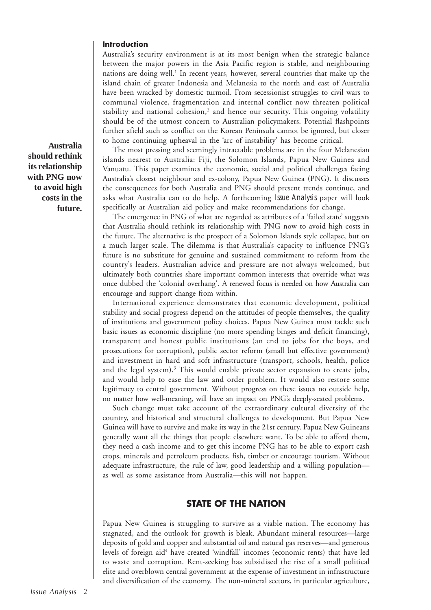# **Introduction**

Australia's security environment is at its most benign when the strategic balance between the major powers in the Asia Pacific region is stable, and neighbouring nations are doing well.<sup>1</sup> In recent years, however, several countries that make up the island chain of greater Indonesia and Melanesia to the north and east of Australia have been wracked by domestic turmoil. From secessionist struggles to civil wars to communal violence, fragmentation and internal conflict now threaten political stability and national cohesion,<sup>2</sup> and hence our security. This ongoing volatility should be of the utmost concern to Australian policymakers. Potential flashpoints further afield such as conflict on the Korean Peninsula cannot be ignored, but closer to home continuing upheaval in the 'arc of instability' has become critical.

The most pressing and seemingly intractable problems are in the four Melanesian islands nearest to Australia: Fiji, the Solomon Islands, Papua New Guinea and Vanuatu. This paper examines the economic, social and political challenges facing Australia's closest neighbour and ex-colony, Papua New Guinea (PNG). It discusses the consequences for both Australia and PNG should present trends continue, and asks what Australia can to do help. A forthcoming *Issue Analysis* paper will look specifically at Australian aid policy and make recommendations for change.

The emergence in PNG of what are regarded as attributes of a 'failed state' suggests that Australia should rethink its relationship with PNG now to avoid high costs in the future. The alternative is the prospect of a Solomon Islands style collapse, but on a much larger scale. The dilemma is that Australia's capacity to influence PNG's future is no substitute for genuine and sustained commitment to reform from the country's leaders. Australian advice and pressure are not always welcomed, but ultimately both countries share important common interests that override what was once dubbed the 'colonial overhang'. A renewed focus is needed on how Australia can encourage and support change from within.

International experience demonstrates that economic development, political stability and social progress depend on the attitudes of people themselves, the quality of institutions and government policy choices. Papua New Guinea must tackle such basic issues as economic discipline (no more spending binges and deficit financing), transparent and honest public institutions (an end to jobs for the boys, and prosecutions for corruption), public sector reform (small but effective government) and investment in hard and soft infrastructure (transport, schools, health, police and the legal system).<sup>3</sup> This would enable private sector expansion to create jobs, and would help to ease the law and order problem. It would also restore some legitimacy to central government. Without progress on these issues no outside help, no matter how well-meaning, will have an impact on PNG's deeply-seated problems.

Such change must take account of the extraordinary cultural diversity of the country, and historical and structural challenges to development. But Papua New Guinea will have to survive and make its way in the 21st century. Papua New Guineans generally want all the things that people elsewhere want. To be able to afford them, they need a cash income and to get this income PNG has to be able to export cash crops, minerals and petroleum products, fish, timber or encourage tourism. Without adequate infrastructure, the rule of law, good leadership and a willing population as well as some assistance from Australia—this will not happen.

# **STATE OF THE NATION**

Papua New Guinea is struggling to survive as a viable nation. The economy has stagnated, and the outlook for growth is bleak. Abundant mineral resources—large deposits of gold and copper and substantial oil and natural gas reserves—and generous levels of foreign aid<sup>4</sup> have created 'windfall' incomes (economic rents) that have led to waste and corruption. Rent-seeking has subsidised the rise of a small political elite and overblown central government at the expense of investment in infrastructure and diversification of the economy. The non-mineral sectors, in particular agriculture,

**Australia should rethink its relationship with PNG now to avoid high costs in the future.**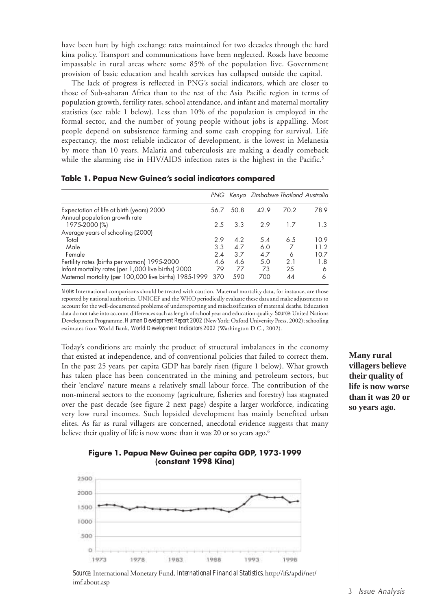have been hurt by high exchange rates maintained for two decades through the hard kina policy. Transport and communications have been neglected. Roads have become impassable in rural areas where some 85% of the population live. Government provision of basic education and health services has collapsed outside the capital.

The lack of progress is reflected in PNG's social indicators, which are closer to those of Sub-saharan Africa than to the rest of the Asia Pacific region in terms of population growth, fertility rates, school attendance, and infant and maternal mortality statistics (see table 1 below). Less than 10% of the population is employed in the formal sector, and the number of young people without jobs is appalling. Most people depend on subsistence farming and some cash cropping for survival. Life expectancy, the most reliable indicator of development, is the lowest in Melanesia by more than 10 years. Malaria and tuberculosis are making a deadly comeback while the alarming rise in HIV/AIDS infection rates is the highest in the Pacific.<sup>5</sup>

|                                                        |      |      | PNG Kenya Zimbabwe Thailand Australia |      |      |
|--------------------------------------------------------|------|------|---------------------------------------|------|------|
| Expectation of life at birth (years) 2000              | 56.7 | 50.8 | 42.9                                  | 70.2 | 78.9 |
| Annual population growth rate                          |      |      |                                       |      |      |
| 1975-2000 (%)                                          | 2.5  | 3.3  | 2.9                                   | 17   | 1.3  |
| Average years of schooling (2000)                      |      |      |                                       |      |      |
| Total                                                  | 2.9  | 4.2  | 5.4                                   | 6.5  | 10.9 |
| Male                                                   | 3.3  | 4.7  | 6.0                                   | 7    | 11.2 |
| Female                                                 | 2.4  | 3.7  | 4.7                                   | 6    | 10.7 |
| Fertility rates (births per woman) 1995-2000           | 4.6  | 4.6  | 5.0                                   | 2.1  | 1.8  |
| Infant mortality rates (per 1,000 live births) 2000    | 79   | 77   | 73                                    | 25   | 6    |
| Maternal mortality (per 100,000 live births) 1985-1999 | 370  | 590  | 700                                   | 44   | 6    |

#### **Table 1. Papua New Guinea's social indicators compared**

*Note:* International comparisons should be treated with caution. Maternal mortality data, for instance, are those reported by national authorities. UNICEF and the WHO periodically evaluate these data and make adjustments to account for the well-documented problems of underreporting and misclassification of maternal deaths. Education data do not take into account differences such as length of school year and education quality. *Source*: United Nations Development Programme, *Human Development Report 2002* (New York: Oxford University Press, 2002); schooling estimates from World Bank, *World Development Indicators 2002* (Washington D.C., 2002).

Today's conditions are mainly the product of structural imbalances in the economy that existed at independence, and of conventional policies that failed to correct them. In the past 25 years, per capita GDP has barely risen (figure 1 below). What growth has taken place has been concentrated in the mining and petroleum sectors, but their 'enclave' nature means a relatively small labour force. The contribution of the non-mineral sectors to the economy (agriculture, fisheries and forestry) has stagnated over the past decade (see figure 2 next page) despite a larger workforce, indicating very low rural incomes. Such lopsided development has mainly benefited urban elites. As far as rural villagers are concerned, anecdotal evidence suggests that many believe their quality of life is now worse than it was 20 or so years ago.<sup>6</sup>

# **Figure 1. Papua New Guinea per capita GDP, 1973-1999 (constant 1998 Kina)**



*Source*: International Monetary Fund, *International Financial Statistics*, http://ifs/apdi/net/ imf.about.asp

**Many rural villagers believe their quality of life is now worse than it was 20 or so years ago.**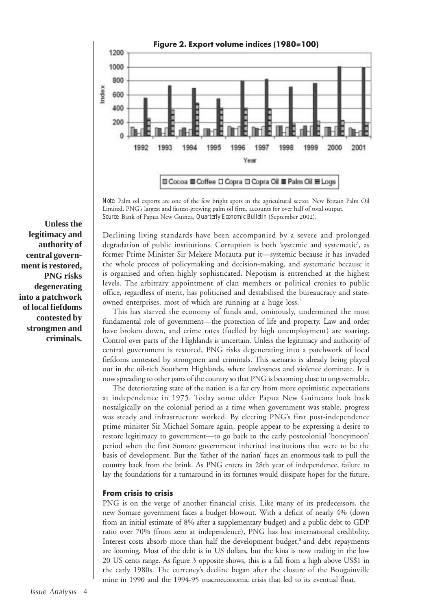

*Note*: Palm oil exports are one of the few bright spots in the agricultural sector. New Britain Palm Oil Limited, PNG's largest and fastest-growing palm oil firm, accounts for over half of total output. *Source*: Bank of Papua New Guinea, *Quarterly Economic Bulletin* (September 2002).

Declining living standards have been accompanied by a severe and prolonged degradation of public institutions. Corruption is both 'systemic and systematic', as former Prime Minister Sir Mekere Morauta put it—systemic because it has invaded the whole process of policymaking and decision-making, and systematic because it is organised and often highly sophisticated. Nepotism is entrenched at the highest levels. The arbitrary appointment of clan members or political cronies to public office, regardless of merit, has politicised and destabilised the bureaucracy and stateowned enterprises, most of which are running at a huge loss.<sup>7</sup>

This has starved the economy of funds and, ominously, undermined the most fundamental role of government—the protection of life and property. Law and order have broken down, and crime rates (fuelled by high unemployment) are soaring. Control over parts of the Highlands is uncertain. Unless the legitimacy and authority of central government is restored, PNG risks degenerating into a patchwork of local fiefdoms contested by strongmen and criminals. This scenario is already being played out in the oil-rich Southern Highlands, where lawlessness and violence dominate. It is now spreading to other parts of the country so that PNG is becoming close to ungovernable*.*

The deteriorating state of the nation is a far cry from more optimistic expectations at independence in 1975. Today some older Papua New Guineans look back nostalgically on the colonial period as a time when government was stable, progress was steady and infrastructure worked. By electing PNG's first post-independence prime minister Sir Michael Somare again, people appear to be expressing a desire to restore legitimacy to government—to go back to the early postcolonial 'honeymoon' period when the first Somare government inherited institutions that were to be the basis of development. But the 'father of the nation' faces an enormous task to pull the country back from the brink. As PNG enters its 28th year of independence, failure to lay the foundations for a turnaround in its fortunes would dissipate hopes for the future.

# **From crisis to crisis**

PNG is on the verge of another financial crisis. Like many of its predecessors, the new Somare government faces a budget blowout. With a deficit of nearly 4% (down from an initial estimate of 8% after a supplementary budget) and a public debt to GDP ratio over 70% (from zero at independence), PNG has lost international credibility. Interest costs absorb more than half the development budget,<sup>8</sup> and debt repayments are looming. Most of the debt is in US dollars, but the kina is now trading in the low 20 US cents range. As figure 3 opposite shows, this is a fall from a high above US\$1 in the early 1980s. The currency's decline began after the closure of the Bougainville mine in 1990 and the 1994-95 macroeconomic crisis that led to its eventual float.

**Unless the legitimacy and authority of central government is restored, PNG risks degenerating into a patchwork of local fiefdoms contested by strongmen and criminals.**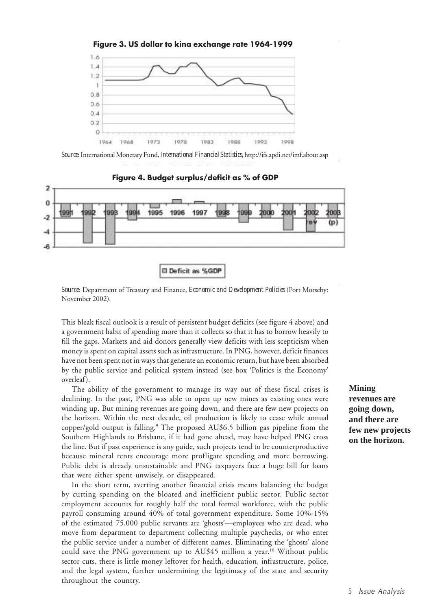

*Source*: International Monetary Fund, *International Financial Statistics*, http://ifs.apdi.net/imf.about.asp



**Figure 4. Budget surplus/deficit as % of GDP**

**El Deficit as %GDF** 

*Source*: Department of Treasury and Finance, *Economic and Development Policies* (Port Morseby: November 2002).

This bleak fiscal outlook is a result of persistent budget deficits (see figure 4 above) and a government habit of spending more than it collects so that it has to borrow heavily to fill the gaps. Markets and aid donors generally view deficits with less scepticism when money is spent on capital assets such as infrastructure. In PNG, however, deficit finances have not been spent not in ways that generate an economic return, but have been absorbed by the public service and political system instead (see box 'Politics is the Economy' overleaf).

The ability of the government to manage its way out of these fiscal crises is declining. In the past, PNG was able to open up new mines as existing ones were winding up. But mining revenues are going down, and there are few new projects on the horizon. Within the next decade, oil production is likely to cease while annual copper/gold output is falling.9 The proposed AU\$6.5 billion gas pipeline from the Southern Highlands to Brisbane, if it had gone ahead, may have helped PNG cross the line. But if past experience is any guide, such projects tend to be counterproductive because mineral rents encourage more profligate spending and more borrowing. Public debt is already unsustainable and PNG taxpayers face a huge bill for loans that were either spent unwisely, or disappeared.

In the short term, averting another financial crisis means balancing the budget by cutting spending on the bloated and inefficient public sector. Public sector employment accounts for roughly half the total formal workforce, with the public payroll consuming around 40% of total government expenditure. Some 10%-15% of the estimated 75,000 public servants are 'ghosts'—employees who are dead, who move from department to department collecting multiple paychecks, or who enter the public service under a number of different names. Eliminating the 'ghosts' alone could save the PNG government up to AU\$45 million a year.<sup>10</sup> Without public sector cuts, there is little money leftover for health, education, infrastructure, police, and the legal system, further undermining the legitimacy of the state and security throughout the country.

**Mining revenues are going down, and there are few new projects on the horizon.**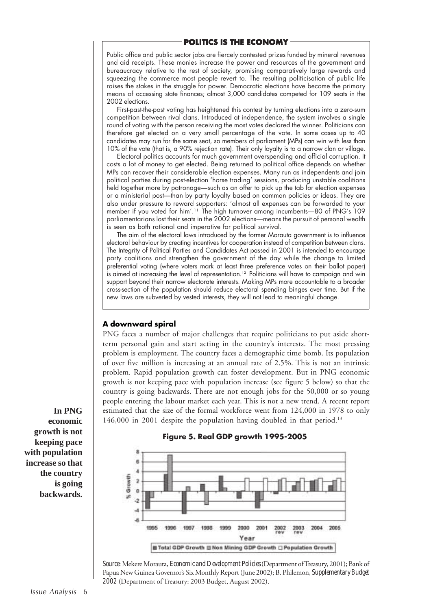# **POLITICS IS THE ECONOMY**

Public office and public sector jobs are fiercely contested prizes funded by mineral revenues and aid receipts. These monies increase the power and resources of the government and bureaucracy relative to the rest of society, promising comparatively large rewards and squeezing the commerce most people revert to. The resulting politicisation of public life raises the stakes in the struggle for power. Democratic elections have become the primary means of accessing state finances; almost 3,000 candidates competed for 109 seats in the 2002 elections.

First-past-the-post voting has heightened this contest by turning elections into a zero-sum competition between rival clans. Introduced at independence, the system involves a single round of voting with the person receiving the most votes declared the winner. Politicians can therefore get elected on a very small percentage of the vote. In some cases up to 40 candidates may run for the same seat, so members of parliament (MPs) can win with less than 10% of the vote (that is, a 90% rejection rate). Their only loyalty is to a narrow clan or village.

Electoral politics accounts for much government overspending and official corruption. It costs a lot of money to get elected. Being returned to political office depends on whether MPs can recover their considerable election expenses. Many run as independents and join political parties during post-election 'horse trading' sessions, producing unstable coalitions held together more by patronage-such as an offer to pick up the tab for election expenses or a ministerial post-than by party loyalty based on common policies or ideas. They are also under pressure to reward supporters: 'almost all expenses can be forwarded to your member if you voted for him'.<sup>11</sup> The high turnover among incumbents—80 of PNG's 109 parliamentarians lost their seats in the 2002 elections—means the pursuit of personal wealth is seen as both rational and imperative for political survival.

The aim of the electoral laws introduced by the former Morauta government is to influence electoral behaviour by creating incentives for cooperation instead of competition between clans. The Integrity of Political Parties and Candidates Act passed in 2001 is intended to encourage party coalitions and strengthen the government of the day while the change to limited preferential voting (where voters mark at least three preference votes on their ballot paper) is aimed at increasing the level of representation.<sup>12</sup> Politicians will have to campaign and win support beyond their narrow electorate interests. Making MPs more accountable to a broader cross-section of the population should reduce electoral spending binges over time. But if the new laws are subverted by vested interests, they will not lead to meaningful change.

# **A downward spiral**

PNG faces a number of major challenges that require politicians to put aside shortterm personal gain and start acting in the country's interests. The most pressing problem is employment. The country faces a demographic time bomb. Its population of over five million is increasing at an annual rate of 2.5%. This is not an intrinsic problem. Rapid population growth can foster development. But in PNG economic growth is not keeping pace with population increase (see figure 5 below) so that the country is going backwards. There are not enough jobs for the 50,000 or so young people entering the labour market each year. This is not a new trend. A recent report estimated that the size of the formal workforce went from 124,000 in 1978 to only 146,000 in 2001 despite the population having doubled in that period.<sup>13</sup>



#### **Figure 5. Real GDP growth 1995-2005**

*Source*: Mekere Morauta, *Economic and Development Policies* (Department of Treasury, 2001); Bank of Papua New Guinea Governor's Six Monthly Report (June 2002); B. Philemon, *Supplementary Budget 2002* (Department of Treasury: 2003 Budget, August 2002).

**In PNG economic growth is not keeping pace with population increase so that the country is going backwards.**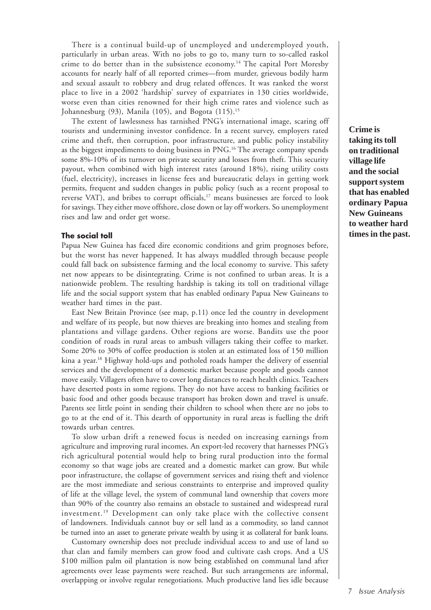There is a continual build-up of unemployed and underemployed youth, particularly in urban areas. With no jobs to go to, many turn to so-called raskol crime to do better than in the subsistence economy.14 The capital Port Moresby accounts for nearly half of all reported crimes—from murder, grievous bodily harm and sexual assault to robbery and drug related offences. It was ranked the worst place to live in a 2002 'hardship' survey of expatriates in 130 cities worldwide, worse even than cities renowned for their high crime rates and violence such as Johannesburg  $(93)$ , Manila  $(105)$ , and Bogota  $(115)$ .<sup>15</sup>

The extent of lawlessness has tarnished PNG's international image, scaring off tourists and undermining investor confidence. In a recent survey, employers rated crime and theft, then corruption, poor infrastructure, and public policy instability as the biggest impediments to doing business in PNG.16 The average company spends some 8%-10% of its turnover on private security and losses from theft. This security payout, when combined with high interest rates (around 18%), rising utility costs (fuel, electricity), increases in license fees and bureaucratic delays in getting work permits, frequent and sudden changes in public policy (such as a recent proposal to reverse VAT), and bribes to corrupt officials,<sup>17</sup> means businesses are forced to look for savings. They either move offshore, close down or lay off workers. So unemployment rises and law and order get worse.

#### **The social toll**

Papua New Guinea has faced dire economic conditions and grim prognoses before, but the worst has never happened. It has always muddled through because people could fall back on subsistence farming and the local economy to survive. This safety net now appears to be disintegrating. Crime is not confined to urban areas. It is a nationwide problem. The resulting hardship is taking its toll on traditional village life and the social support system that has enabled ordinary Papua New Guineans to weather hard times in the past.

East New Britain Province (see map, p.11) once led the country in development and welfare of its people, but now thieves are breaking into homes and stealing from plantations and village gardens. Other regions are worse. Bandits use the poor condition of roads in rural areas to ambush villagers taking their coffee to market. Some 20% to 30% of coffee production is stolen at an estimated loss of 150 million kina a year.18 Highway hold-ups and potholed roads hamper the delivery of essential services and the development of a domestic market because people and goods cannot move easily. Villagers often have to cover long distances to reach health clinics. Teachers have deserted posts in some regions. They do not have access to banking facilities or basic food and other goods because transport has broken down and travel is unsafe. Parents see little point in sending their children to school when there are no jobs to go to at the end of it. This dearth of opportunity in rural areas is fuelling the drift towards urban centres.

To slow urban drift a renewed focus is needed on increasing earnings from agriculture and improving rural incomes. An export-led recovery that harnesses PNG's rich agricultural potential would help to bring rural production into the formal economy so that wage jobs are created and a domestic market can grow. But while poor infrastructure, the collapse of government services and rising theft and violence are the most immediate and serious constraints to enterprise and improved quality of life at the village level, the system of communal land ownership that covers more than 90% of the country also remains an obstacle to sustained and widespread rural investment.19 Development can only take place with the collective consent of landowners. Individuals cannot buy or sell land as a commodity, so land cannot be turned into an asset to generate private wealth by using it as collateral for bank loans.

Customary ownership does not preclude individual access to and use of land so that clan and family members can grow food and cultivate cash crops. And a US \$100 million palm oil plantation is now being established on communal land after agreements over lease payments were reached. But such arrangements are informal, overlapping or involve regular renegotiations. Much productive land lies idle because

**Crime is taking its toll on traditional village life and the social support system that has enabled ordinary Papua New Guineans to weather hard times in the past.**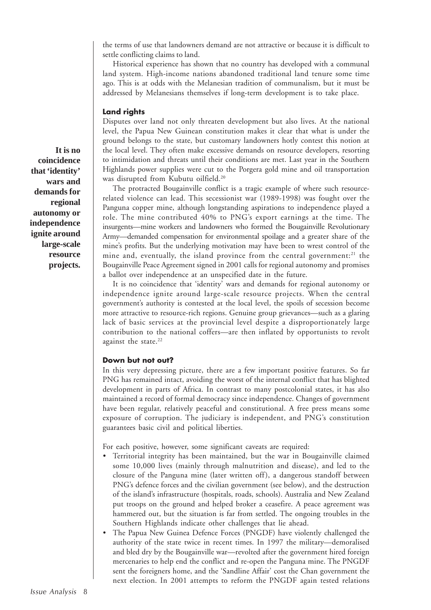the terms of use that landowners demand are not attractive or because it is difficult to settle conflicting claims to land.

Historical experience has shown that no country has developed with a communal land system. High-income nations abandoned traditional land tenure some time ago. This is at odds with the Melanesian tradition of communalism, but it must be addressed by Melanesians themselves if long-term development is to take place.

#### **Land rights**

Disputes over land not only threaten development but also lives. At the national level, the Papua New Guinean constitution makes it clear that what is under the ground belongs to the state, but customary landowners hotly contest this notion at the local level. They often make excessive demands on resource developers, resorting to intimidation and threats until their conditions are met. Last year in the Southern Highlands power supplies were cut to the Porgera gold mine and oil transportation was disrupted from Kubutu oilfield.20

The protracted Bougainville conflict is a tragic example of where such resourcerelated violence can lead. This secessionist war (1989-1998) was fought over the Panguna copper mine, although longstanding aspirations to independence played a role. The mine contributed 40% to PNG's export earnings at the time*.* The insurgents—mine workers and landowners who formed the Bougainville Revolutionary Army—demanded compensation for environmental spoilage and a greater share of the mine's profits. But the underlying motivation may have been to wrest control of the mine and, eventually, the island province from the central government:<sup>21</sup> the Bougainville Peace Agreement signed in 2001 calls for regional autonomy and promises a ballot over independence at an unspecified date in the future.

It is no coincidence that 'identity' wars and demands for regional autonomy or independence ignite around large-scale resource projects. When the central government's authority is contested at the local level, the spoils of secession become more attractive to resource-rich regions. Genuine group grievances—such as a glaring lack of basic services at the provincial level despite a disproportionately large contribution to the national coffers—are then inflated by opportunists to revolt against the state.<sup>22</sup>

# **Down but not out?**

In this very depressing picture, there are a few important positive features. So far PNG has remained intact, avoiding the worst of the internal conflict that has blighted development in parts of Africa. In contrast to many postcolonial states, it has also maintained a record of formal democracy since independence. Changes of government have been regular, relatively peaceful and constitutional. A free press means some exposure of corruption. The judiciary is independent, and PNG's constitution guarantees basic civil and political liberties.

For each positive, however, some significant caveats are required:

- Territorial integrity has been maintained, but the war in Bougainville claimed some 10,000 lives (mainly through malnutrition and disease), and led to the closure of the Panguna mine (later written off), a dangerous standoff between PNG's defence forces and the civilian government (see below), and the destruction of the island's infrastructure (hospitals, roads, schools). Australia and New Zealand put troops on the ground and helped broker a ceasefire. A peace agreement was hammered out, but the situation is far from settled. The ongoing troubles in the Southern Highlands indicate other challenges that lie ahead.
- The Papua New Guinea Defence Forces (PNGDF) have violently challenged the authority of the state twice in recent times. In 1997 the military—demoralised and bled dry by the Bougainville war—revolted after the government hired foreign mercenaries to help end the conflict and re-open the Panguna mine. The PNGDF sent the foreigners home, and the 'Sandline Affair' cost the Chan government the next election. In 2001 attempts to reform the PNGDF again tested relations

**It is no coincidence that 'identity' wars and demands for regional autonomy or independence ignite around large-scale resource projects.**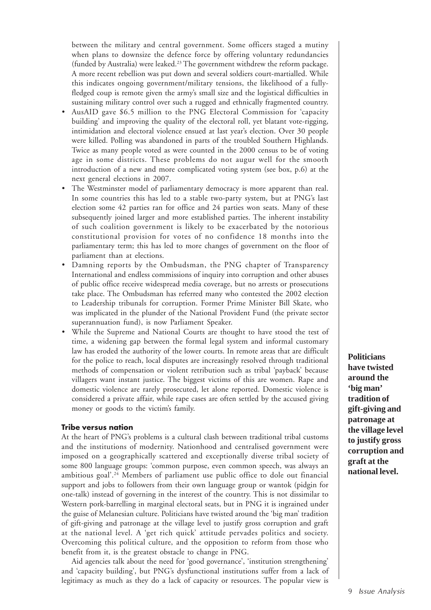between the military and central government. Some officers staged a mutiny when plans to downsize the defence force by offering voluntary redundancies (funded by Australia) were leaked.<sup>23</sup> The government withdrew the reform package. A more recent rebellion was put down and several soldiers court-martialled. While this indicates ongoing government/military tensions, the likelihood of a fullyfledged coup is remote given the army's small size and the logistical difficulties in sustaining military control over such a rugged and ethnically fragmented country.

- AusAID gave \$6.5 million to the PNG Electoral Commission for 'capacity building' and improving the quality of the electoral roll, yet blatant vote-rigging, intimidation and electoral violence ensued at last year's election. Over 30 people were killed. Polling was abandoned in parts of the troubled Southern Highlands. Twice as many people voted as were counted in the 2000 census to be of voting age in some districts. These problems do not augur well for the smooth introduction of a new and more complicated voting system (see box, p.6) at the next general elections in 2007.
- The Westminster model of parliamentary democracy is more apparent than real. In some countries this has led to a stable two-party system*,* but at PNG's last election some 42 parties ran for office and 24 parties won seats. Many of these subsequently joined larger and more established parties. The inherent instability of such coalition government is likely to be exacerbated by the notorious constitutional provision for votes of no confidence 18 months into the parliamentary term; this has led to more changes of government on the floor of parliament than at elections.
- Damning reports by the Ombudsman, the PNG chapter of Transparency International and endless commissions of inquiry into corruption and other abuses of public office receive widespread media coverage, but no arrests or prosecutions take place. The Ombudsman has referred many who contested the 2002 election to Leadership tribunals for corruption. Former Prime Minister Bill Skate, who was implicated in the plunder of the National Provident Fund (the private sector superannuation fund), is now Parliament Speaker.
- While the Supreme and National Courts are thought to have stood the test of time, a widening gap between the formal legal system and informal customary law has eroded the authority of the lower courts. In remote areas that are difficult for the police to reach, local disputes are increasingly resolved through traditional methods of compensation or violent retribution such as tribal 'payback' because villagers want instant justice. The biggest victims of this are women. Rape and domestic violence are rarely prosecuted, let alone reported. Domestic violence is considered a private affair, while rape cases are often settled by the accused giving money or goods to the victim's family.

# **Tribe versus nation**

At the heart of PNG's problems is a cultural clash between traditional tribal customs and the institutions of modernity. Nationhood and centralised government were imposed on a geographically scattered and exceptionally diverse tribal society of some 800 language groups: 'common purpose, even common speech, was always an ambitious goal'.<sup>24</sup> Members of parliament use public office to dole out financial support and jobs to followers from their own language group or wantok (pidgin for one-talk) instead of governing in the interest of the country. This is not dissimilar to Western pork-barrelling in marginal electoral seats, but in PNG it is ingrained under the guise of Melanesian culture. Politicians have twisted around the 'big man' tradition of gift-giving and patronage at the village level to justify gross corruption and graft at the national level. A 'get rich quick' attitude pervades politics and society. Overcoming this political culture, and the opposition to reform from those who benefit from it, is the greatest obstacle to change in PNG.

Aid agencies talk about the need for 'good governance', 'institution strengthening' and 'capacity building', but PNG's dysfunctional institutions suffer from a lack of legitimacy as much as they do a lack of capacity or resources. The popular view is

**Politicians have twisted around the 'big man' tradition of gift-giving and patronage at the village level to justify gross corruption and graft at the national level.**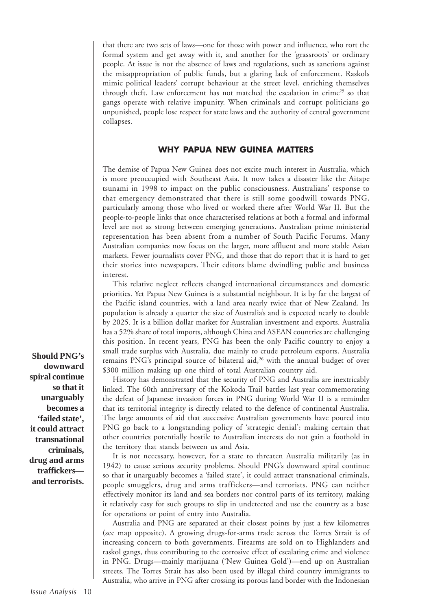that there are two sets of laws—one for those with power and influence, who rort the formal system and get away with it, and another for the 'grassroots' or ordinary people. At issue is not the absence of laws and regulations, such as sanctions against the misappropriation of public funds, but a glaring lack of enforcement. Raskols mimic political leaders' corrupt behaviour at the street level, enriching themselves through theft. Law enforcement has not matched the escalation in crime<sup>25</sup> so that gangs operate with relative impunity. When criminals and corrupt politicians go unpunished, people lose respect for state laws and the authority of central government collapses.

# **WHY PAPUA NEW GUINEA MATTERS**

The demise of Papua New Guinea does not excite much interest in Australia, which is more preoccupied with Southeast Asia. It now takes a disaster like the Aitape tsunami in 1998 to impact on the public consciousness*.* Australians' response to that emergency demonstrated that there is still some goodwill towards PNG, particularly among those who lived or worked there after World War II. But the people-to-people links that once characterised relations at both a formal and informal level are not as strong between emerging generations. Australian prime ministerial representation has been absent from a number of South Pacific Forums. Many Australian companies now focus on the larger, more affluent and more stable Asian markets. Fewer journalists cover PNG, and those that do report that it is hard to get their stories into newspapers. Their editors blame dwindling public and business interest.

This relative neglect reflects changed international circumstances and domestic priorities. Yet Papua New Guinea is a substantial neighbour. It is by far the largest of the Pacific island countries, with a land area nearly twice that of New Zealand. Its population is already a quarter the size of Australia's and is expected nearly to double by 2025. It is a billion dollar market for Australian investment and exports. Australia has a 52% share of total imports, although China and ASEAN countries are challenging this position. In recent years, PNG has been the only Pacific country to enjoy a small trade surplus with Australia, due mainly to crude petroleum exports. Australia remains PNG's principal source of bilateral aid,<sup>26</sup> with the annual budget of over \$300 million making up one third of total Australian country aid.

History has demonstrated that the security of PNG and Australia are inextricably linked. The 60th anniversary of the Kokoda Trail battles last year commemorating the defeat of Japanese invasion forces in PNG during World War II is a reminder that its territorial integrity is directly related to the defence of continental Australia. The large amounts of aid that successive Australian governments have poured into PNG go back to a longstanding policy of 'strategic denial': making certain that other countries potentially hostile to Australian interests do not gain a foothold in the territory that stands between us and Asia.

It is not necessary, however, for a state to threaten Australia militarily (as in 1942) to cause serious security problems. Should PNG's downward spiral continue so that it unarguably becomes a 'failed state', it could attract transnational criminals, people smugglers, drug and arms traffickers—and terrorists. PNG can neither effectively monitor its land and sea borders nor control parts of its territory, making it relatively easy for such groups to slip in undetected and use the country as a base for operations or point of entry into Australia.

Australia and PNG are separated at their closest points by just a few kilometres (see map opposite). A growing drugs-for-arms trade across the Torres Strait is of increasing concern to both governments. Firearms are sold on to Highlanders and raskol gangs, thus contributing to the corrosive effect of escalating crime and violence in PNG. Drugs—mainly marijuana ('New Guinea Gold')—end up on Australian streets. The Torres Strait has also been used by illegal third country immigrants to Australia, who arrive in PNG after crossing its porous land border with the Indonesian

**Should PNG's downward spiral continue so that it unarguably becomes a 'failed state', it could attract transnational criminals, drug and arms traffickers and terrorists.**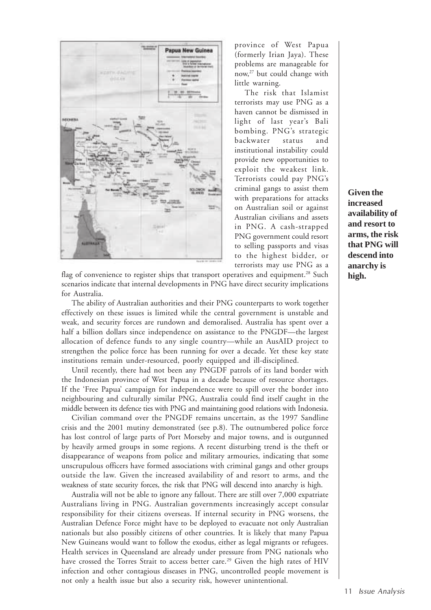

province of West Papua (formerly Irian Jaya). These problems are manageable for now,27 but could change with little warning.

The risk that Islamist terrorists may use PNG as a haven cannot be dismissed in light of last year's Bali bombing. PNG's strategic backwater status and institutional instability could provide new opportunities to exploit the weakest link. Terrorists could pay PNG's criminal gangs to assist them with preparations for attacks on Australian soil or against Australian civilians and assets in PNG. A cash-strapped PNG government could resort to selling passports and visas to the highest bidder, or terrorists may use PNG as a

flag of convenience to register ships that transport operatives and equipment.<sup>28</sup> Such scenarios indicate that internal developments in PNG have direct security implications for Australia.

The ability of Australian authorities and their PNG counterparts to work together effectively on these issues is limited while the central government is unstable and weak, and security forces are rundown and demoralised. Australia has spent over a half a billion dollars since independence on assistance to the PNGDF—the largest allocation of defence funds to any single country—while an AusAID project to strengthen the police force has been running for over a decade. Yet these key state institutions remain under-resourced, poorly equipped and ill-disciplined.

Until recently, there had not been any PNGDF patrols of its land border with the Indonesian province of West Papua in a decade because of resource shortages. If the 'Free Papua' campaign for independence were to spill over the border into neighbouring and culturally similar PNG, Australia could find itself caught in the middle between its defence ties with PNG and maintaining good relations with Indonesia.

Civilian command over the PNGDF remains uncertain, as the 1997 Sandline crisis and the 2001 mutiny demonstrated (see p.8). The outnumbered police force has lost control of large parts of Port Morseby and major towns, and is outgunned by heavily armed groups in some regions. A recent disturbing trend is the theft or disappearance of weapons from police and military armouries, indicating that some unscrupulous officers have formed associations with criminal gangs and other groups outside the law. Given the increased availability of and resort to arms, and the weakness of state security forces, the risk that PNG will descend into anarchy is high.

Australia will not be able to ignore any fallout. There are still over 7,000 expatriate Australians living in PNG. Australian governments increasingly accept consular responsibility for their citizens overseas. If internal security in PNG worsens, the Australian Defence Force might have to be deployed to evacuate not only Australian nationals but also possibly citizens of other countries. It is likely that many Papua New Guineans would want to follow the exodus, either as legal migrants or refugees. Health services in Queensland are already under pressure from PNG nationals who have crossed the Torres Strait to access better care.<sup>29</sup> Given the high rates of HIV infection and other contagious diseases in PNG, uncontrolled people movement is not only a health issue but also a security risk, however unintentional.

**Given the increased availability of and resort to arms, the risk that PNG will descend into anarchy is high.**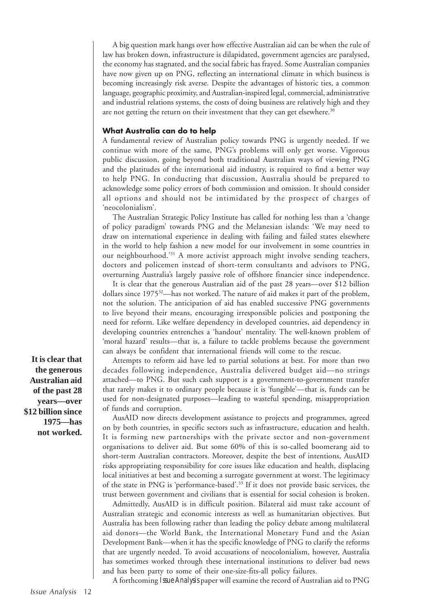A big question mark hangs over how effective Australian aid can be when the rule of law has broken down, infrastructure is dilapidated, government agencies are paralysed, the economy has stagnated, and the social fabric has frayed. Some Australian companies have now given up on PNG, reflecting an international climate in which business is becoming increasingly risk averse. Despite the advantages of historic ties, a common language, geographic proximity, and Australian-inspired legal, commercial, administrative and industrial relations systems, the costs of doing business are relatively high and they are not getting the return on their investment that they can get elsewhere.<sup>30</sup>

# **What Australia can do to help**

A fundamental review of Australian policy towards PNG is urgently needed. If we continue with more of the same, PNG's problems will only get worse. Vigorous public discussion, going beyond both traditional Australian ways of viewing PNG and the platitudes of the international aid industry, is required to find a better way to help PNG. In conducting that discussion, Australia should be prepared to acknowledge some policy errors of both commission and omission. It should consider all options and should not be intimidated by the prospect of charges of 'neocolonialism'.

The Australian Strategic Policy Institute has called for nothing less than a 'change of policy paradigm' towards PNG and the Melanesian islands: 'We may need to draw on international experience in dealing with failing and failed states elsewhere in the world to help fashion a new model for our involvement in some countries in our neighbourhood.'31 A more activist approach might involve sending teachers, doctors and policemen instead of short-term consultants and advisors to PNG, overturning Australia's largely passive role of offshore financier since independence.

It is clear that the generous Australian aid of the past 28 years—over \$12 billion dollars since 197532—has not worked. The nature of aid makes it part of the problem, not the solution. The anticipation of aid has enabled successive PNG governments to live beyond their means, encouraging irresponsible policies and postponing the need for reform. Like welfare dependency in developed countries, aid dependency in developing countries entrenches a 'handout' mentality. The well-known problem of 'moral hazard' results—that is, a failure to tackle problems because the government can always be confident that international friends will come to the rescue.

Attempts to reform aid have led to partial solutions at best. For more than two decades following independence, Australia delivered budget aid—no strings attached—to PNG. But such cash support is a government-to-government transfer that rarely makes it to ordinary people because it is 'fungible'—that is, funds can be used for non-designated purposes—leading to wasteful spending, misappropriation of funds and corruption.

AusAID now directs development assistance to projects and programmes, agreed on by both countries, in specific sectors such as infrastructure, education and health. It is forming new partnerships with the private sector and non-government organisations to deliver aid. But some 60% of this is so-called boomerang aid to short-term Australian contractors. Moreover, despite the best of intentions, AusAID risks appropriating responsibility for core issues like education and health, displacing local initiatives at best and becoming a surrogate government at worst. The legitimacy of the state in PNG is 'performance-based'.33 If it does not provide basic services, the trust between government and civilians that is essential for social cohesion is broken.

Admittedly, AusAID is in difficult position. Bilateral aid must take account of Australian strategic and economic interests as well as humanitarian objectives. But Australia has been following rather than leading the policy debate among multilateral aid donors—the World Bank, the International Monetary Fund and the Asian Development Bank—when it has the specific knowledge of PNG to clarify the reforms that are urgently needed. To avoid accusations of neocolonialism, however, Australia has sometimes worked through these international institutions to deliver bad news and has been party to some of their one-size-fits-all policy failures.

A forthcoming *Issue Analysis* paper will examine the record of Australian aid to PNG

**It is clear that the generous Australian aid of the past 28 years—over \$12 billion since 1975—has not worked.**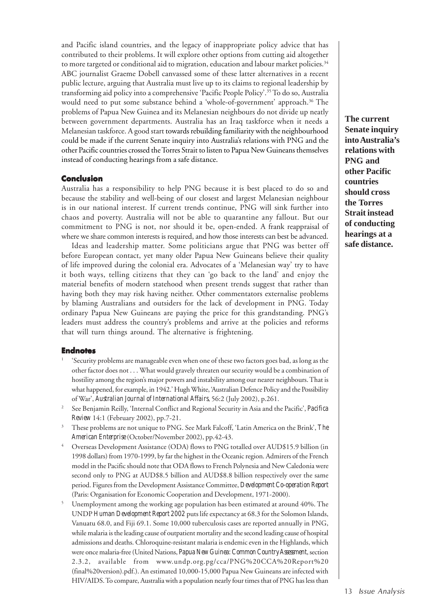and Pacific island countries, and the legacy of inappropriate policy advice that has contributed to their problems. It will explore other options from cutting aid altogether to more targeted or conditional aid to migration, education and labour market policies.<sup>34</sup> ABC journalist Graeme Dobell canvassed some of these latter alternatives in a recent public lecture, arguing that Australia must live up to its claims to regional leadership by transforming aid policy into a comprehensive 'Pacific People Policy'.35 To do so, Australia would need to put some substance behind a 'whole-of-government' approach.<sup>36</sup> The problems of Papua New Guinea and its Melanesian neighbours do not divide up neatly between government departments. Australia has an Iraq taskforce when it needs a Melanesian taskforce. A good start towards rebuilding familiarity with the neighbourhood could be made if the current Senate inquiry into Australia's relations with PNG and the other Pacific countries crossed the Torres Strait to listen to Papua New Guineans themselves instead of conducting hearings from a safe distance.

#### **Conclusion**

Australia has a responsibility to help PNG because it is best placed to do so and because the stability and well-being of our closest and largest Melanesian neighbour is in our national interest. If current trends continue, PNG will sink further into chaos and poverty. Australia will not be able to quarantine any fallout. But our commitment to PNG is not, nor should it be, open-ended. A frank reappraisal of where we share common interests is required, and how those interests can best be advanced.

Ideas and leadership matter. Some politicians argue that PNG was better off before European contact, yet many older Papua New Guineans believe their quality of life improved during the colonial era. Advocates of a 'Melanesian way' try to have it both ways, telling citizens that they can 'go back to the land' and enjoy the material benefits of modern statehood when present trends suggest that rather than having both they may risk having neither. Other commentators externalise problems by blaming Australians and outsiders for the lack of development in PNG. Today ordinary Papua New Guineans are paying the price for this grandstanding*.* PNG's leaders must address the country's problems and arrive at the policies and reforms that will turn things around. The alternative is frightening.

#### **Endnotes**

- <sup>1</sup> 'Security problems are manageable even when one of these two factors goes bad, as long as the other factor does not . . . What would gravely threaten our security would be a combination of hostility among the region's major powers and instability among our nearer neighbours. That is what happened, for example, in 1942.' Hugh White, 'Australian Defence Policy and the Possibility of War', *Australian Journal of International Affairs*, 56:2 (July 2002), p.261.
- <sup>2</sup> See Benjamin Reilly, 'Internal Conflict and Regional Security in Asia and the Pacific', *Pacifica Review* 14:1 (February 2002), pp.7-21.
- <sup>3</sup> These problems are not unique to PNG. See Mark Falcoff, 'Latin America on the Brink', *The American Enterprise* (October/November 2002), pp.42-43.
- <sup>4</sup> Overseas Development Assistance (ODA) flows to PNG totalled over AUD\$15.9 billion (in 1998 dollars) from 1970-1999, by far the highest in the Oceanic region. Admirers of the French model in the Pacific should note that ODA flows to French Polynesia and New Caledonia were second only to PNG at AUD\$8.5 billion and AUD\$8.8 billion respectively over the same period. Figures from the Development Assistance Committee, *Development Co-operation Report* (Paris: Organisation for Economic Cooperation and Development, 1971-2000).
- <sup>5</sup> Unemployment among the working age population has been estimated at around 40%. The UNDP *Human Development Report 2002* puts life expectancy at 68.3 for the Solomon Islands, Vanuatu 68.0, and Fiji 69.1. Some 10,000 tuberculosis cases are reported annually in PNG, while malaria is the leading cause of outpatient mortality and the second leading cause of hospital admissions and deaths. Chloroquine-resistant malaria is endemic even in the Highlands, which were once malaria-free (United Nations, *Papua New Guinea: Common Country Assessment*, section 2.3.2, available from www.undp.org.pg/cca/PNG%20CCA%20Report%20 (final%20version).pdf.). An estimated 10,000-15,000 Papua New Guineans are infected with HIV/AIDS. To compare, Australia with a population nearly four times that of PNG has less than

**The current Senate inquiry into Australia's relations with PNG and other Pacific countries should cross the Torres Strait instead of conducting hearings at a safe distance.**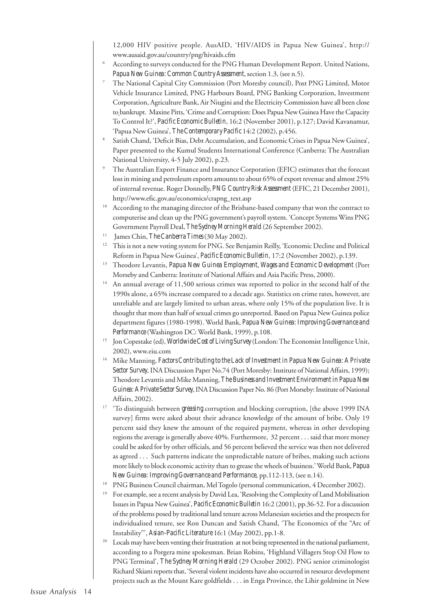12,000 HIV positive people. AusAID, 'HIV/AIDS in Papua New Guinea', http:// www.ausaid.gov.au/country/png/hivaids.cfm

- <sup>6</sup> According to surveys conducted for the PNG Human Development Report. United Nations, *Papua New Guinea: Common Country Assessment*, section 1.3, (see n.5).
- <sup>7</sup> The National Capital City Commission (Port Moresby council), Post PNG Limited, Motor Vehicle Insurance Limited, PNG Harbours Board, PNG Banking Corporation, Investment Corporation, Agriculture Bank, Air Niugini and the Electricity Commission have all been close to bankrupt. Maxine Pitts, 'Crime and Corruption: Does Papua New Guinea Have the Capacity To Control It?', *Pacific Economic Bulletin*, 16:2 (November 2001), p.127; David Kavanamur, 'Papua New Guinea', *The Contemporary Pacific* 14:2 (2002), p.456.
- <sup>8</sup> Satish Chand, 'Deficit Bias, Debt Accumulation, and Economic Crises in Papua New Guinea', Paper presented to the Kumul Students International Conference (Canberra: The Australian National University, 4-5 July 2002), p.23.
- The Australian Export Finance and Insurance Corporation (EFIC) estimates that the forecast loss in mining and petroleum exports amounts to about 65% of export revenue and almost 25% of internal revenue. Roger Donnelly, *PNG Country Risk Assessment* (EFIC, 21 December 2001), http://www.efic.gov.au/economics/crapng\_text.asp
- According to the managing director of the Brisbane-based company that won the contract to computerise and clean up the PNG government's payroll system. 'Concept Systems Wins PNG Government Payroll Deal, *The Sydney Morning Herald* (26 September 2002).
- 11 James Chin, *The Canberra Times* (30 May 2002).
- <sup>12</sup> This is not a new voting system for PNG. See Benjamin Reilly, 'Economic Decline and Political Reform in Papua New Guinea', *Pacific Economic Bulletin*, 17:2 (November 2002), p.139.
- <sup>13</sup> Theodore Levantis, *Papua New Guinea Employment, Wages and Economic Development* (Port Morseby and Canberra: Institute of National Affairs and Asia Pacific Press, 2000).
- <sup>14</sup> An annual average of 11,500 serious crimes was reported to police in the second half of the 1990s alone, a 65% increase compared to a decade ago. Statistics on crime rates, however, are unreliable and are largely limited to urban areas, where only 15% of the population live. It is thought that more than half of sexual crimes go unreported. Based on Papua New Guinea police department figures (1980-1998). World Bank, *Papua New Guinea: Improving Governance and Performance* (Washington DC: World Bank, 1999), p.108.
- <sup>15</sup> Jon Copestake (ed), *Worldwide Cost of Living Survey* (London: The Economist Intelligence Unit, 2002), www.eiu.com
- <sup>16</sup> Mike Manning, *Factors Contributing to the Lack of Investment in Papua New Guinea: A Private Sector Survey*, INA Discussion Paper No.74 (Port Moresby: Institute of National Affairs, 1999); Theodore Levantis and Mike Manning, *The Business and Investment Environment in Papua New Guinea: A Private Sector Survey*, INA Discussion Paper No. 86 (Port Morseby: Institute of National Affairs, 2002).
- <sup>17</sup> 'To distinguish between *greasing* corruption and blocking corruption, [the above 1999 INA survey] firms were asked about their advance knowledge of the amount of bribe. Only 19 percent said they knew the amount of the required payment, whereas in other developing regions the average is generally above 40%. Furthermore, 32 percent . . . said that more money could be asked for by other officials, and 56 percent believed the service was then not delivered as agreed . . . Such patterns indicate the unpredictable nature of bribes, making such actions more likely to block economic activity than to grease the wheels of business.' World Bank, *Papua New Guinea: Improving Governance and Performance,* pp.112-113, (see n.14).
- <sup>18</sup> PNG Business Council chairman, Mel Togolo (personal communication, 4 December 2002).
- <sup>19</sup> For example, see a recent analysis by David Lea, 'Resolving the Complexity of Land Mobilisation Issues in Papua New Guinea', *Pacific Economic Bulletin* 16:2 (2001), pp.36-52. For a discussion of the problems posed by traditional land tenure across Melanesian societies and the prospects for individualised tenure, see Ron Duncan and Satish Chand, 'The Economics of the "Arc of Instability"', *Asian-Pacific Literature* 16:1 (May 2002), pp.1-8.
- <sup>20</sup> Locals may have been venting their frustration at not being represented in the national parliament, according to a Porgera mine spokesman. Brian Robins, 'Highland Villagers Stop Oil Flow to PNG Terminal', *The Sydney Morning Herald* (29 October 2002). PNG senior criminologist Richard Skiani reports that, 'Several violent incidents have also occurred in resource development projects such as the Mount Kare goldfields . . . in Enga Province, the Lihir goldmine in New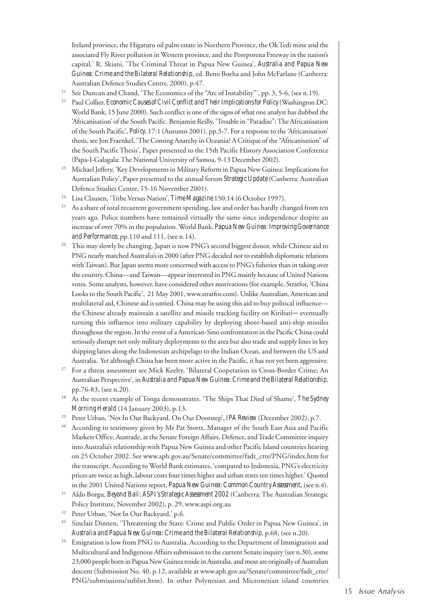Ireland province, the Higaturu oil palm estate in Northern Province, the Ok Tedi mine and the associated Fly River pollution in Western province, and the Poreporena Freeway in the nation's capital.' R. Skiani, 'The Criminal Threat in Papua New Guinea', *Australia and Papua New Guinea: Crime and the Bilateral Relationship*, ed. Beno Boeha and John McFarlane (Canberra: Australian Defence Studies Centre, 2000), p.47.

- <sup>21</sup> See Duncan and Chand, 'The Economics of the "Arc of Instability"', pp. 3, 5-6, (see n.19).
- <sup>22</sup> Paul Collier, *Economic Causes of Civil Conflict and Their Implications for Policy* (Washington DC: World Bank, 15 June 2000). Such conflict is one of the signs of what one analyst has dubbed the 'Africanisation' of the South Pacific. Benjamin Reilly, 'Trouble in "Paradise": The Africanisation of the South Pacific', *Policy*, 17:1 (Autumn 2001), pp.3-7. For a response to the 'Africanisation' thesis, see Jon Fraenkel, 'The Coming Anarchy in Oceania? A Critique of the "Africanisation" of the South Pacific Thesis', Paper presented to the 15th Pacific History Association Conference (Papa-I-Galagala: The National University of Samoa, 9-13 December 2002).
- <sup>23</sup> Michael Jeffery, 'Key Developments in Military Reform in Papua New Guinea: Implications for Australian Policy', Paper presented to the annual forum *Strategic Update* (Canberra: Australian Defence Studies Centre, 15-16 November 2001).
- <sup>24</sup> Lisa Clausen, 'Tribe Versus Nation', *Time Magazine* 150:14 (6 October 1997).
- <sup>25</sup> As a share of total recurrent government spending, law and order has hardly changed from ten years ago. Police numbers have remained virtually the same since independence despite an increase of over 70% in the population. World Bank, *Papua New Guinea: Improving Governance and Performance*, pp.110 and 111, (see n.14).
- <sup>26</sup> This may slowly be changing. Japan is now PNG's second biggest donor, while Chinese aid to PNG nearly matched Australia's in 2000 (after PNG decided not to establish diplomatic relations with Taiwan). But Japan seems more concerned with access to PNG's fisheries than in taking over the country. China—and Taiwan—appear interested in PNG mainly because of United Nations votes. Some analysts, however, have considered other motivations (for example, Stratfor, 'China Looks to the South Pacific', 21 May 2001, www.stratfor.com). Unlike Australian, American and multilateral aid, Chinese aid is untied. China may be using this aid to buy political influence the Chinese already maintain a satellite and missile tracking facility on Kiribati*—*eventually turning this influence into military capability by deploying shore-based anti-ship missiles throughout the region. In the event of a American-Sino confrontation in the Pacific China could seriously disrupt not only military deployments to the area but also trade and supply lines in key shipping lanes along the Indonesian archipelago to the Indian Ocean, and between the US and Australia. Yet although China has been more active in the Pacific, it has not yet been aggressive.
- <sup>27</sup> For a threat assessment see Mick Keelty, 'Bilateral Cooperation in Cross-Border Crime; An Australian Perspective', in *Australia and Papua New Guinea: Crime and the Bilateral Relationship*, pp.76-83, (see n.20).
- <sup>28</sup> As the recent example of Tonga demonstrates. 'The Ships That Died of Shame', *The Sydney Morning Herald* (14 January 2003), p.13.
- <sup>29</sup> Peter Urban, 'Not In Our Backyard, On Our Doorstep', *IPA Review* (December 2002), p.7.
- <sup>30</sup> According to testimony given by Mr Pat Stortz, Manager of the South East Asia and Pacific Markets Office, Austrade, at the Senate Foreign Affairs, Defence, and Trade Committee inquiry into Australia's relationship with Papua New Guinea and other Pacific Island countries hearing on 25 October 2002. See www.aph.gov.au/Senate/committee/fadt\_ctte/PNG/index.htm for the transcript. According to World Bank estimates, 'compared to Indonesia, PNG's electricity prices are twice as high, labour costs four times higher and urban rents ten times higher.' Quoted in the 2001 United Nations report, *Papua New Guinea: Common Country Assessment*, (see n.4).
- <sup>31</sup> Aldo Borgu, *Beyond Bali: ASPI's Strategic Assessment 2002* (Canberra: The Australian Strategic Policy Institute, November 2002), p. 29, www.aspi.org.au
- <sup>32</sup> Peter Urban, 'Not In Our Backyard,' p.6.
- <sup>33</sup> Sinclair Dinnen, 'Threatening the State: Crime and Public Order in Papua New Guinea', in *Australia and Papua New Guinea: Crime and the Bilateral Relationship*, p.68, (see n.20).
- <sup>34</sup> Emigration is low from PNG to Australia. According to the Department of Immigration and Multicultural and Indigenous Affairs submission to the current Senate inquiry (see n.30), some 23,000 people born in Papua New Guinea reside in Australia, and most are originally of Australian descent (Submission No. 40, p.12, available at www.aph.gov.au/Senate/committee/fadt\_ctte/ PNG/submissions/sublist.htm). In other Polynesian and Micronesian island countries